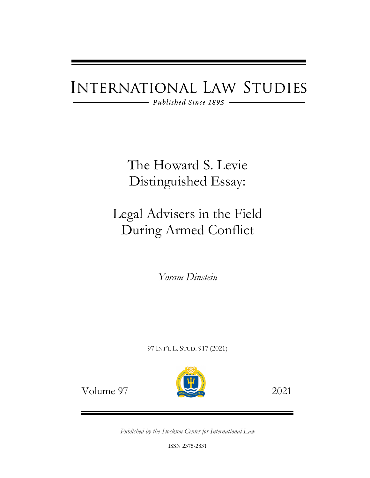# **INTERNATIONAL LAW STUDIES**

 $-$  Published Since 1895 -

The Howard S. Levie Distinguished Essay:

## Legal Advisers in the Field During Armed Conflict

*Yoram Dinstein*

97 INT'L L. STUD. 917 (2021)



Volume 97 2021

*Published by the Stockton Center for International Law*

ISSN 2375-2831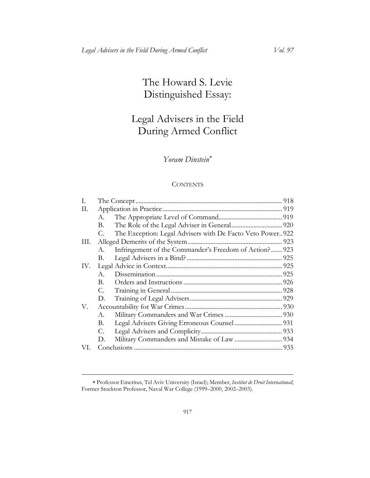## The Howard S. Levie Distinguished Essay:

## Legal Advisers in the Field During Armed Conflict

### *Yoram Dinstein*[∗](#page-1-0)

#### **CONTENTS**

| I.  |    |                                                             |  |
|-----|----|-------------------------------------------------------------|--|
| П.  |    |                                                             |  |
|     | А. |                                                             |  |
|     | В. |                                                             |  |
|     | C. | The Exception: Legal Advisers with De Facto Veto Power. 922 |  |
| Ш.  |    |                                                             |  |
|     | А. | Infringement of the Commander's Freedom of Action? 923      |  |
|     | В. |                                                             |  |
| IV. |    |                                                             |  |
|     | A. |                                                             |  |
|     | В. |                                                             |  |
|     | C. |                                                             |  |
|     | D. |                                                             |  |
| V.  |    |                                                             |  |
|     | А. |                                                             |  |
|     | В. |                                                             |  |
|     | C. |                                                             |  |
|     | D. |                                                             |  |
| VI. |    |                                                             |  |

<span id="page-1-0"></span><sup>∗</sup> Professor Emeritus, Tel Aviv University (Israel); Member, *Institut de Droit International* ; Former Stockton Professor, Naval War College (1999–2000, 2002–2003).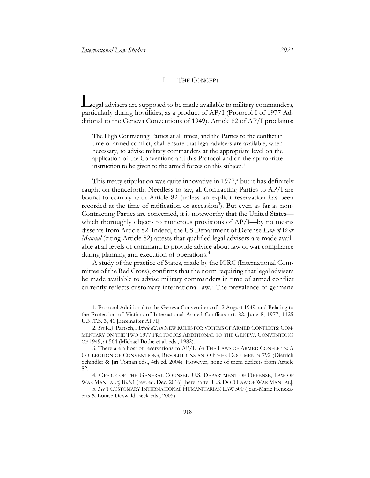#### <span id="page-2-8"></span><span id="page-2-6"></span>I. THE CONCEPT

<span id="page-2-0"></span>Legal advisers are supposed to be made available to military commanders, particularly during hostilities, as a product of AP/I (Protocol I of 1977 Additional to the Geneva Conventions of 1949). Article 82 of AP/I proclaims:

The High Contracting Parties at all times, and the Parties to the conflict in time of armed conflict, shall ensure that legal advisers are available, when necessary, to advise military commanders at the appropriate level on the application of the Conventions and this Protocol and on the appropriate instruction to be given to the armed forces on this subject.<sup>[1](#page-2-1)</sup>

This treaty stipulation was quite innovative in  $1977<sup>2</sup>$  but it has definitely caught on thenceforth. Needless to say, all Contracting Parties to AP/I are bound to comply with Article 82 (unless an explicit reservation has been recorded at the time of ratification or accession<sup>[3](#page-2-3)</sup>). But even as far as non-Contracting Parties are concerned, it is noteworthy that the United States which thoroughly objects to numerous provisions of AP/I—by no means dissents from Article 82. Indeed, the US Department of Defense *Law of War Manual* (citing Article 82) attests that qualified legal advisers are made available at all levels of command to provide advice about law of war compliance during planning and execution of operations.<sup>[4](#page-2-4)</sup>

<span id="page-2-9"></span>A study of the practice of States, made by the ICRC (International Committee of the Red Cross), confirms that the norm requiring that legal advisers be made available to advise military commanders in time of armed conflict currently reflects customary international law.<sup>[5](#page-2-5)</sup> The prevalence of germane

<span id="page-2-7"></span><span id="page-2-1"></span><sup>1.</sup> Protocol Additional to the Geneva Conventions of 12 August 1949, and Relating to the Protection of Victims of International Armed Conflicts art. 82, June 8, 1977, 1125 U.N.T.S. 3, 41 [hereinafter AP/I].

<span id="page-2-2"></span><sup>2.</sup> See K.J. Partsch, Article 82, in NEW RULES FOR VICTIMS OF ARMED CONFLICTS: COM-MENTARY ON THE TWO 1977 PROTOCOLS ADDITIONAL TO THE GENEVA CONVENTIONS OF 1949, at 564 (Michael Bothe et al. eds., 1982).

<span id="page-2-3"></span><sup>3.</sup> There are a host of reservations to AP/I. *See* THE LAWS OF ARMED CONFLICTS: A COLLECTION OF CONVENTIONS, RESOLUTIONS AND OTHER DOCUMENTS 792 (Dietrich Schindler & Jiri Toman eds., 4th ed. 2004). However, none of them deflects from Article 82.

<span id="page-2-4"></span><sup>4.</sup> OFFICE OF THE GENERAL COUNSEL, U.S. DEPARTMENT OF DEFENSE, LAW OF WAR MANUAL § 18.5.1 (rev. ed. Dec. 2016) [hereinafter U.S. DOD LAW OF WAR MANUAL].

<span id="page-2-5"></span><sup>5.</sup> *See* 1 CUSTOMARY INTERNATIONAL HUMANITARIAN LAW 500 (Jean-Marie Henckaerts & Louise Doswald-Beck eds., 2005).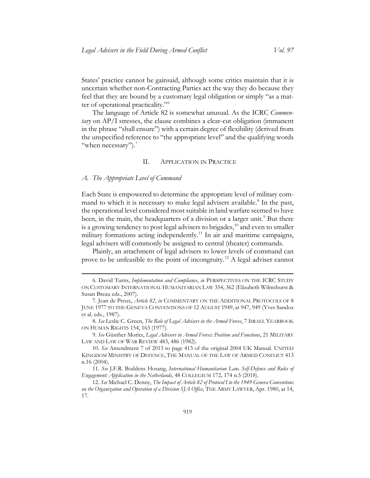States' practice cannot be gainsaid, although some critics maintain that it is uncertain whether non-Contracting Parties act the way they do because they feel that they are bound by a customary legal obligation or simply "as a matter of operational practicality."[6](#page-3-2)

The language of Article 82 is somewhat unusual. As the ICRC *Commentary* on AP/I stresses, the clause combines a clear-cut obligation (immanent in the phrase "shall ensure") with a certain degree of flexibility (derived from the unspecified reference to "the appropriate level" and the qualifying words "when necessary"). $<sup>7</sup>$ </sup>

#### <span id="page-3-9"></span>II. APPLICATION IN PRACTICE

#### <span id="page-3-1"></span><span id="page-3-0"></span>*A. The Appropriate Level of Command*

Each State is empowered to determine the appropriate level of military com-mand to which it is necessary to make legal advisers available.<sup>[8](#page-3-4)</sup> In the past, the operational level considered most suitable in land warfare seemed to have been, in the main, the headquarters of a division or a larger unit.<sup>[9](#page-3-5)</sup> But there is a growing tendency to post legal advisers to brigades, $^{10}$  $^{10}$  $^{10}$  and even to smaller military formations acting independently.<sup>[11](#page-3-7)</sup> In air and maritime campaigns, legal advisers will commonly be assigned to central (theater) commands.

Plainly, an attachment of legal advisers to lower levels of command can prove to be unfeasible to the point of incongruity.[12](#page-3-8) A legal adviser cannot

<span id="page-3-2"></span><sup>6.</sup> David Turns, *Implementation and Compliance*, *in* PERSPECTIVES ON THE ICRC STUDY ON CUSTOMARY INTERNATIONAL HUMANITARIAN LAW 354, 362 (Elizabeth Wilmshurst & Susan Breau eds., 2007).

<span id="page-3-3"></span><sup>7.</sup> Jean de Preux, *Article 82*, *in* COMMENTARY ON THE ADDITIONAL PROTOCOLS OF 8 JUNE 1977 TO THE GENEVA CONVENTIONS OF 12 AUGUST 1949, at 947, 949 (Yves Sandoz et al. eds., 1987).

<span id="page-3-4"></span><sup>8.</sup> *See* Leslie C. Green, *The Role of Legal Advisers in the Armed Forces*, 7 ISRAEL YEARBOOK ON HUMAN RIGHTS 154, 163 (1977).

<span id="page-3-5"></span><sup>9.</sup> *See* Günther Moritz, *Legal Advisers in Armed Forces: Position and Functions*, 21 MILITARY LAW AND LAW OF WAR REVIEW 483, 486 (1982).

<span id="page-3-6"></span><sup>10.</sup> *See* Amendment 7 of 2013 to page 413 of the original 2004 UK Manual. UNITED KINGDOM MINISTRY OF DEFENCE, THE MANUAL OF THE LAW OF ARMED CONFLICT 413 n.16 (2004).

<span id="page-3-7"></span><sup>11.</sup> *See* J.F.R. Boddens Hosang, *International Humanitarian Law, Self-Defence and Rules of Engagement: Application in the Netherlands*, 48 COLLEGIUM 172, 174 n.5 (2018).

<span id="page-3-8"></span><sup>12.</sup> *See* Michael C. Denny, *The Impact of Article 82 of Protocol I to the 1949 Geneva Conventions on the Organization and Operation of a Division SJA Office*, THE ARMY LAWYER, Apr. 1980, at 14, 17.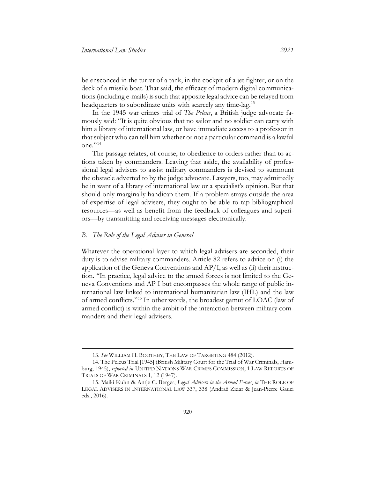be ensconced in the turret of a tank, in the cockpit of a jet fighter, or on the deck of a missile boat. That said, the efficacy of modern digital communications (including e-mails) is such that apposite legal advice can be relayed from headquarters to subordinate units with scarcely any time-lag.<sup>[13](#page-4-1)</sup>

<span id="page-4-4"></span>In the 1945 war crimes trial of *The Peleus*, a British judge advocate famously said: "It is quite obvious that no sailor and no soldier can carry with him a library of international law, or have immediate access to a professor in that subject who can tell him whether or not a particular command is a lawful  $one.$ "<sup>[14](#page-4-2)</sup>

The passage relates, of course, to obedience to orders rather than to actions taken by commanders. Leaving that aside, the availability of professional legal advisers to assist military commanders is devised to surmount the obstacle adverted to by the judge advocate. Lawyers, too, may admittedly be in want of a library of international law or a specialist's opinion. But that should only marginally handicap them. If a problem strays outside the area of expertise of legal advisers, they ought to be able to tap bibliographical resources—as well as benefit from the feedback of colleagues and superiors—by transmitting and receiving messages electronically.

#### <span id="page-4-0"></span>*B. The Role of the Legal Adviser in General*

Whatever the operational layer to which legal advisers are seconded, their duty is to advise military commanders. Article 82 refers to advice on (i) the application of the Geneva Conventions and  $AP/I$ , as well as (ii) their instruction. "In practice, legal advice to the armed forces is not limited to the Geneva Conventions and AP I but encompasses the whole range of public international law linked to international humanitarian law (IHL) and the law of armed conflicts."[15](#page-4-3) In other words, the broadest gamut of LOAC (law of armed conflict) is within the ambit of the interaction between military commanders and their legal advisers.

<sup>13.</sup> *See* WILLIAM H. BOOTHBY, THE LAW OF TARGETING 484 (2012).

<span id="page-4-2"></span><span id="page-4-1"></span><sup>14.</sup> The Peleus Trial [1945] (British Military Court for the Trial of War Criminals, Hamburg, 1945), *reported in* UNITED NATIONS WAR CRIMES COMMISSION, 1 LAW REPORTS OF TRIALS OF WAR CRIMINALS 1, 12 (1947).

<span id="page-4-3"></span><sup>15.</sup> Maiki Kuhn & Antje C. Berger, *Legal Advisers in the Armed Forces*, *in* THE ROLE OF LEGAL ADVISERS IN INTERNATIONAL LAW 337, 338 (Andraž Zidar & Jean-Pierre Gauci eds., 2016).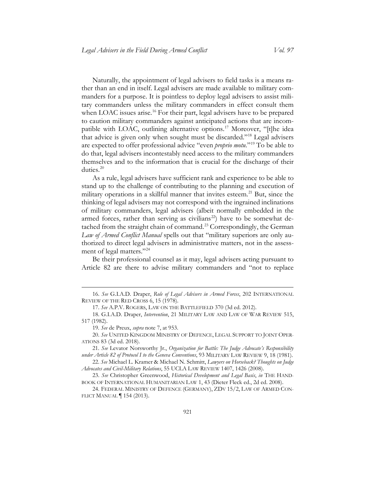Naturally, the appointment of legal advisers to field tasks is a means rather than an end in itself. Legal advisers are made available to military commanders for a purpose. It is pointless to deploy legal advisers to assist military commanders unless the military commanders in effect consult them when LOAC issues arise.<sup>[16](#page-5-0)</sup> For their part, legal advisers have to be prepared to caution military commanders against anticipated actions that are incom-patible with LOAC, outlining alternative options.<sup>[17](#page-5-1)</sup> Moreover, "[t]he idea that advice is given only when sought must be discarded."[18](#page-5-2) Legal advisers are expected to offer professional advice "even *proprio motu.*"[19](#page-5-3) To be able to do that, legal advisers incontestably need access to the military commanders themselves and to the information that is crucial for the discharge of their duties.<sup>[20](#page-5-4)</sup>

As a rule, legal advisers have sufficient rank and experience to be able to stand up to the challenge of contributing to the planning and execution of military operations in a skillful manner that invites esteem.<sup>[21](#page-5-5)</sup> But, since the thinking of legal advisers may not correspond with the ingrained inclinations of military commanders, legal advisers (albeit normally embedded in the armed forces, rather than serving as civilians<sup>[22](#page-5-6)</sup>) have to be somewhat de-tached from the straight chain of command.<sup>[23](#page-5-7)</sup> Correspondingly, the German *Law of Armed Conflict Manual* spells out that "military superiors are only authorized to direct legal advisers in administrative matters, not in the assessment of legal matters."[24](#page-5-8)

Be their professional counsel as it may, legal advisers acting pursuant to Article 82 are there to advise military commanders and "not to replace

<span id="page-5-0"></span><sup>16.</sup> *See* G.I.A.D. Draper, *Role of Legal Advisers in Armed Forces*, 202 INTERNATIONAL REVIEW OF THE RED CROSS 6, 15 (1978).

<sup>17.</sup> *See* A.P.V. ROGERS, LAW ON THE BATTLEFIELD 370 (3d ed. 2012).

<span id="page-5-2"></span><span id="page-5-1"></span><sup>18.</sup> G.I.A.D. Draper, *Intervention*, 21 MILITARY LAW AND LAW OF WAR REVIEW 515, 517 (1982).

<sup>19.</sup> *See* de Preux, *supra* note [7,](#page-3-9) at 953.

<span id="page-5-4"></span><span id="page-5-3"></span><sup>20.</sup> *See* UNITED KINGDOM MINISTRY OF DEFENCE, LEGAL SUPPORT TO JOINT OPER-ATIONS 83 (3d ed. 2018).

<span id="page-5-5"></span><sup>21.</sup> *See* Levator Norsworthy Jr., *Organization for Battle: The Judge Advocate's Responsibility under Article 82 of Protocol I to the Geneva Conventions*, 93 MILITARY LAW REVIEW 9, 18 (1981).

<span id="page-5-6"></span><sup>22.</sup> *See* Michael L. Kramer & Michael N. Schmitt, *Lawyers on Horseback? Thoughts on Judge Advocates and Civil-Military Relations*, 55 UCLA LAW REVIEW 1407, 1426 (2008).

<span id="page-5-7"></span><sup>23.</sup> *See* Christopher Greenwood, *Historical Development and Legal Basis*, *in* THE HAND-BOOK OF INTERNATIONAL HUMANITARIAN LAW 1, 43 (Dieter Fleck ed., 2d ed. 2008).

<span id="page-5-8"></span><sup>24.</sup> FEDERAL MINISTRY OF DEFENCE (GERMANY), ZDV 15/2, LAW OF ARMED CON-FLICT MANUAL ¶ 154 (2013).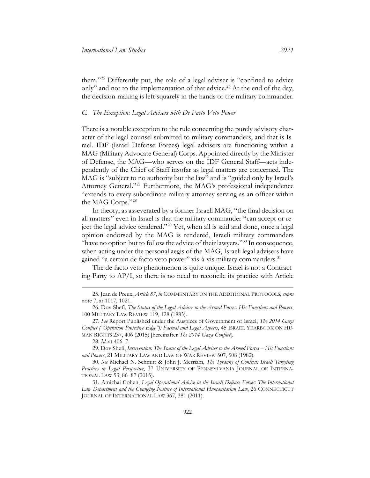them."[25](#page-6-1) Differently put, the role of a legal adviser is "confined to advice only" and not to the implementation of that advice.<sup>[26](#page-6-2)</sup> At the end of the day, the decision-making is left squarely in the hands of the military commander.

#### <span id="page-6-0"></span>*C. The Exception: Legal Advisers with De Facto Veto Power*

There is a notable exception to the rule concerning the purely advisory character of the legal counsel submitted to military commanders, and that is Israel. IDF (Israel Defense Forces) legal advisers are functioning within a MAG (Military Advocate General) Corps. Appointed directly by the Minister of Defense, the MAG—who serves on the IDF General Staff—acts independently of the Chief of Staff insofar as legal matters are concerned. The MAG is "subject to no authority but the law" and is "guided only by Israel's Attorney General."[27](#page-6-3) Furthermore, the MAG's professional independence "extends to every subordinate military attorney serving as an officer within the MAG Corps."[28](#page-6-4)

<span id="page-6-8"></span>In theory, as asseverated by a former Israeli MAG, "the final decision on all matters" even in Israel is that the military commander "can accept or reject the legal advice tendered."[29](#page-6-5) Yet, when all is said and done, once a legal opinion endorsed by the MAG is rendered, Israeli military commanders "have no option but to follow the advice of their lawyers."[30](#page-6-6) In consequence, when acting under the personal aegis of the MAG, Israeli legal advisers have gained "a certain de facto veto power" vis-à-vis military commanders.<sup>[31](#page-6-7)</sup>

The de facto veto phenomenon is quite unique. Israel is not a Contracting Party to AP/I, so there is no need to reconcile its practice with Article

<span id="page-6-1"></span><sup>25.</sup> Jean de Preux, *Article 87*, *in* COMMENTARY ON THE ADDITIONAL PROTOCOLS, *supra* note [7,](#page-3-9) at 1017, 1021.

<span id="page-6-2"></span><sup>26.</sup> Dov Shefi, *The Status of the Legal Adviser to the Armed Forces: His Functions and Powers*, 100 MILITARY LAW REVIEW 119, 128 (1983).

<span id="page-6-3"></span><sup>27.</sup> *See* Report Published under the Auspices of Government of Israel, *The 2014 Gaza Conflict ("Operation Protective Edge"): Factual and Legal Aspects*, 45 ISRAEL YEARBOOK ON HU-MAN RIGHTS 237, 406 (2015) [hereinafter *The 2014 Gaza Conflict*].

<sup>28.</sup> *Id*. at 406–7.

<span id="page-6-5"></span><span id="page-6-4"></span><sup>29.</sup> Dov Shefi, *Intervention: The Status of the Legal Adviser to the Armed Forces – His Functions and Powers*, 21 MILITARY LAW AND LAW OF WAR REVIEW 507, 508 (1982).

<span id="page-6-6"></span><sup>30.</sup> *See* Michael N. Schmitt & John J. Merriam, *The Tyranny of Context: Israeli Targeting Practices in Legal Perspective*, 37 UNIVERSITY OF PENNSYLVANIA JOURNAL OF INTERNA-TIONAL LAW 53, 86–87 (2015).

<span id="page-6-7"></span><sup>31.</sup> Amichai Cohen, *Legal Operational Advice in the Israeli Defense Forces: The International Law Department and the Changing Nature of International Humanitarian Law*, 26 CONNECTICUT JOURNAL OF INTERNATIONAL LAW 367, 381 (2011).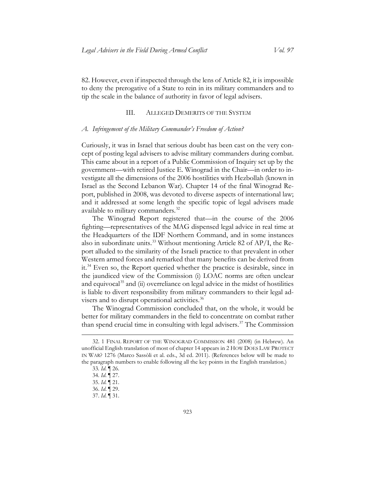82. However, even if inspected through the lens of Article 82, it is impossible to deny the prerogative of a State to rein in its military commanders and to tip the scale in the balance of authority in favor of legal advisers.

#### III. ALLEGED DEMERITS OF THE SYSTEM

#### <span id="page-7-1"></span><span id="page-7-0"></span>*A. Infringement of the Military Commander's Freedom of Action?*

Curiously, it was in Israel that serious doubt has been cast on the very concept of posting legal advisers to advise military commanders during combat. This came about in a report of a Public Commission of Inquiry set up by the government—with retired Justice E. Winograd in the Chair—in order to investigate all the dimensions of the 2006 hostilities with Hezbollah (known in Israel as the Second Lebanon War). Chapter 14 of the final Winograd Report, published in 2008, was devoted to diverse aspects of international law; and it addressed at some length the specific topic of legal advisers made available to military commanders.<sup>[32](#page-7-2)</sup>

<span id="page-7-8"></span>The Winograd Report registered that—in the course of the 2006 fighting—representatives of the MAG dispensed legal advice in real time at the Headquarters of the IDF Northern Command, and in some instances also in subordinate units.<sup>[33](#page-7-3)</sup> Without mentioning Article 82 of AP/I, the Report alluded to the similarity of the Israeli practice to that prevalent in other Western armed forces and remarked that many benefits can be derived from it.[34](#page-7-4) Even so, the Report queried whether the practice is desirable, since in the jaundiced view of the Commission (i) LOAC norms are often unclear and equivocal<sup>[35](#page-7-5)</sup> and (ii) overreliance on legal advice in the midst of hostilities is liable to divert responsibility from military commanders to their legal ad-visers and to disrupt operational activities.<sup>[36](#page-7-6)</sup>

The Winograd Commission concluded that, on the whole, it would be better for military commanders in the field to concentrate on combat rather than spend crucial time in consulting with legal advisers.<sup>[37](#page-7-7)</sup> The Commission

<span id="page-7-4"></span><span id="page-7-3"></span><span id="page-7-2"></span><sup>32.</sup> 1 FINAL REPORT OF THE WINOGRAD COMMISSION 481 (2008) (in Hebrew). An unofficial English translation of most of chapter 14 appears in 2 HOW DOES LAW PROTECT IN WAR? 1276 (Marco Sassòli et al. eds., 3d ed. 2011). (References below will be made to the paragraph numbers to enable following all the key points in the English translation.)

<sup>33</sup>*. Id*. ¶ 26.

<span id="page-7-5"></span><sup>34.</sup> *Id*. ¶ 27.

<sup>35.</sup> *Id*. ¶ 21.

<span id="page-7-7"></span><span id="page-7-6"></span><sup>36.</sup> *Id*. ¶ 29.

<sup>37.</sup> *Id*. ¶ 31.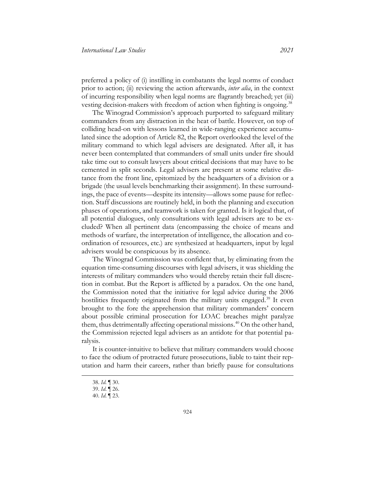preferred a policy of (i) instilling in combatants the legal norms of conduct prior to action; (ii) reviewing the action afterwards, *inter alia*, in the context of incurring responsibility when legal norms are flagrantly breached; yet (iii) vesting decision-makers with freedom of action when fighting is ongoing.<sup>[38](#page-8-0)</sup>

The Winograd Commission's approach purported to safeguard military commanders from any distraction in the heat of battle. However, on top of colliding head-on with lessons learned in wide-ranging experience accumulated since the adoption of Article 82, the Report overlooked the level of the military command to which legal advisers are designated. After all, it has never been contemplated that commanders of small units under fire should take time out to consult lawyers about critical decisions that may have to be cemented in split seconds. Legal advisers are present at some relative distance from the front line, epitomized by the headquarters of a division or a brigade (the usual levels benchmarking their assignment). In these surroundings, the pace of events—despite its intensity—allows some pause for reflection. Staff discussions are routinely held, in both the planning and execution phases of operations, and teamwork is taken for granted. Is it logical that, of all potential dialogues, only consultations with legal advisers are to be excluded? When all pertinent data (encompassing the choice of means and methods of warfare, the interpretation of intelligence, the allocation and coordination of resources, etc.) are synthesized at headquarters, input by legal advisers would be conspicuous by its absence.

The Winograd Commission was confident that, by eliminating from the equation time-consuming discourses with legal advisers, it was shielding the interests of military commanders who would thereby retain their full discretion in combat. But the Report is afflicted by a paradox. On the one hand, the Commission noted that the initiative for legal advice during the 2006 hostilities frequently originated from the military units engaged.<sup>[39](#page-8-1)</sup> It even brought to the fore the apprehension that military commanders' concern about possible criminal prosecution for LOAC breaches might paralyze them, thus detrimentally affecting operational missions.<sup>[40](#page-8-2)</sup> On the other hand, the Commission rejected legal advisers as an antidote for that potential paralysis.

<span id="page-8-1"></span><span id="page-8-0"></span>It is counter-intuitive to believe that military commanders would choose to face the odium of protracted future prosecutions, liable to taint their reputation and harm their careers, rather than briefly pause for consultations

<sup>38.</sup> *Id*. ¶ 30.

<span id="page-8-2"></span><sup>39.</sup> *Id*. ¶ 26.

<sup>40.</sup> *Id*. ¶ 23.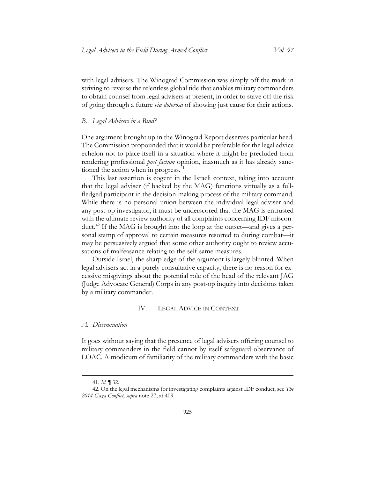with legal advisers. The Winograd Commission was simply off the mark in striving to reverse the relentless global tide that enables military commanders to obtain counsel from legal advisers at present, in order to stave off the risk of going through a future *via dolorosa* of showing just cause for their actions.

#### <span id="page-9-0"></span>*B. Legal Advisers in a Bind?*

One argument brought up in the Winograd Report deserves particular heed. The Commission propounded that it would be preferable for the legal advice echelon not to place itself in a situation where it might be precluded from rendering professional *post factum* opinion, inasmuch as it has already sanc-tioned the action when in progress.<sup>[41](#page-9-3)</sup>

This last assertion is cogent in the Israeli context, taking into account that the legal adviser (if backed by the MAG) functions virtually as a fullfledged participant in the decision-making process of the military command. While there is no personal union between the individual legal adviser and any post-op investigator, it must be underscored that the MAG is entrusted with the ultimate review authority of all complaints concerning IDF misconduct.[42](#page-9-4) If the MAG is brought into the loop at the outset—and gives a personal stamp of approval to certain measures resorted to during combat—it may be persuasively argued that some other authority ought to review accusations of malfeasance relating to the self-same measures.

Outside Israel, the sharp edge of the argument is largely blunted. When legal advisers act in a purely consultative capacity, there is no reason for excessive misgivings about the potential role of the head of the relevant JAG (Judge Advocate General) Corps in any post-op inquiry into decisions taken by a military commander.

#### IV. LEGAL ADVICE IN CONTEXT

#### <span id="page-9-2"></span><span id="page-9-1"></span>*A. Dissemination*

It goes without saying that the presence of legal advisers offering counsel to military commanders in the field cannot by itself safeguard observance of LOAC. A modicum of familiarity of the military commanders with the basic

<sup>41.</sup> *Id*. ¶ 32.

<span id="page-9-4"></span><span id="page-9-3"></span><sup>42.</sup> On the legal mechanisms for investigating complaints against IDF conduct, see *The 2014 Gaza Conflict*, *supra* note [27,](#page-6-8) at 409*.*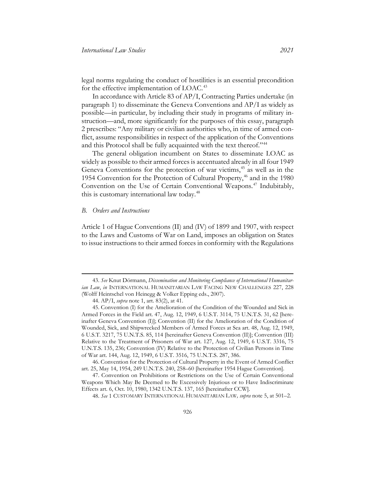legal norms regulating the conduct of hostilities is an essential precondition for the effective implementation of LOAC.<sup>[43](#page-10-1)</sup>

In accordance with Article 83 of AP/I, Contracting Parties undertake (in paragraph 1) to disseminate the Geneva Conventions and AP/I as widely as possible—in particular, by including their study in programs of military instruction—and, more significantly for the purposes of this essay, paragraph 2 prescribes: "Any military or civilian authorities who, in time of armed conflict, assume responsibilities in respect of the application of the Conventions and this Protocol shall be fully acquainted with the text thereof."<sup>[44](#page-10-2)</sup>

<span id="page-10-8"></span><span id="page-10-7"></span>The general obligation incumbent on States to disseminate LOAC as widely as possible to their armed forces is accentuated already in all four 1949 Geneva Conventions for the protection of war victims, [45](#page-10-3) as well as in the 1954 Convention for the Protection of Cultural Property,<sup>[46](#page-10-4)</sup> and in the 1980 Convention on the Use of Certain Conventional Weapons. [47](#page-10-5) Indubitably, this is customary international law today.<sup>[48](#page-10-6)</sup>

#### <span id="page-10-0"></span>*B. Orders and Instructions*

Article 1 of Hague Conventions (II) and (IV) of 1899 and 1907, with respect to the Laws and Customs of War on Land, imposes an obligation on States to issue instructions to their armed forces in conformity with the Regulations

<span id="page-10-1"></span><sup>43.</sup> *See* Knut Dörmann, *Dissemination and Monitoring Compliance of International Humanitarian Law*, *in* INTERNATIONAL HUMANITARIAN LAW FACING NEW CHALLENGES 227, 228 (Wolff Heintschel von Heinegg & Volker Epping eds., 2007).

<sup>44.</sup> AP/I, *supra* note [1,](#page-2-6) art. 83(2), at 41.

<span id="page-10-3"></span><span id="page-10-2"></span><sup>45.</sup> Convention (I) for the Amelioration of the Condition of the Wounded and Sick in Armed Forces in the Field art. 47, Aug. 12, 1949, 6 U.S.T. 3114, 75 U.N.T.S. 31, 62 [hereinafter Geneva Convention (I)]; Convention (II) for the Amelioration of the Condition of Wounded, Sick, and Shipwrecked Members of Armed Forces at Sea art. 48, Aug. 12, 1949, 6 U.S.T. 3217, 75 U.N.T.S. 85, 114 [hereinafter Geneva Convention (II)]; Convention (III) Relative to the Treatment of Prisoners of War art. 127, Aug. 12, 1949, 6 U.S.T. 3316, 75 U.N.T.S. 135, 236; Convention (IV) Relative to the Protection of Civilian Persons in Time of War art. 144, Aug. 12, 1949, 6 U.S.T. 3516, 75 U.N.T.S. 287, 386.

<span id="page-10-4"></span><sup>46.</sup> Convention for the Protection of Cultural Property in the Event of Armed Conflict art. 25, May 14, 1954, 249 U.N.T.S. 240, 258–60 [hereinafter 1954 Hague Convention].

<span id="page-10-6"></span><span id="page-10-5"></span><sup>47.</sup> Convention on Prohibitions or Restrictions on the Use of Certain Conventional Weapons Which May Be Deemed to Be Excessively Injurious or to Have Indiscriminate Effects art. 6, Oct. 10, 1980, 1342 U.N.T.S. 137, 165 [hereinafter CCW].

<sup>48.</sup> *See* 1 CUSTOMARY INTERNATIONAL HUMANITARIAN LAW*, supra* note [5,](#page-2-7) at 501–2.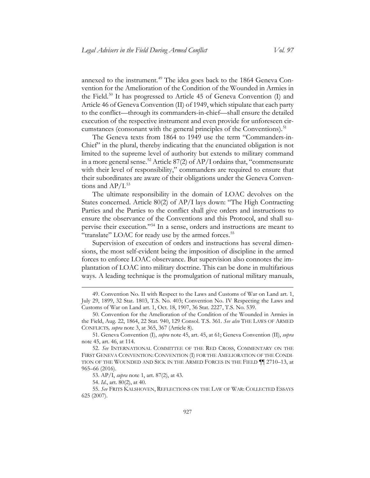annexed to the instrument.<sup>[49](#page-11-0)</sup> The idea goes back to the 1864 Geneva Convention for the Amelioration of the Condition of the Wounded in Armies in the Field.<sup>[50](#page-11-1)</sup> It has progressed to Article 45 of Geneva Convention (I) and Article 46 of Geneva Convention (II) of 1949, which stipulate that each party to the conflict—through its commanders-in-chief—shall ensure the detailed execution of the respective instrument and even provide for unforeseen cir-cumstances (consonant with the general principles of the Conventions).<sup>[51](#page-11-2)</sup>

The Geneva texts from 1864 to 1949 use the term "Commanders-in-Chief" in the plural, thereby indicating that the enunciated obligation is not limited to the supreme level of authority but extends to military command in a more general sense.<sup>[52](#page-11-3)</sup> Article 87(2) of AP/I ordains that, "commensurate with their level of responsibility," commanders are required to ensure that their subordinates are aware of their obligations under the Geneva Conventions and  $AP/I$ .<sup>[53](#page-11-4)</sup>

The ultimate responsibility in the domain of LOAC devolves on the States concerned. Article 80(2) of AP/I lays down: "The High Contracting Parties and the Parties to the conflict shall give orders and instructions to ensure the observance of the Conventions and this Protocol, and shall supervise their execution."[54](#page-11-5) In a sense, orders and instructions are meant to "translate" LOAC for ready use by the armed forces.<sup>[55](#page-11-6)</sup>

Supervision of execution of orders and instructions has several dimensions, the most self-evident being the imposition of discipline in the armed forces to enforce LOAC observance. But supervision also connotes the implantation of LOAC into military doctrine. This can be done in multifarious ways. A leading technique is the promulgation of national military manuals,

<span id="page-11-0"></span><sup>49.</sup> Convention No. II with Respect to the Laws and Customs of War on Land art. 1, July 29, 1899, 32 Stat. 1803, T.S. No. 403; Convention No. IV Respecting the Laws and Customs of War on Land art. 1, Oct. 18, 1907, 36 Stat. 2227, T.S. No. 539.

<span id="page-11-1"></span><sup>50.</sup> Convention for the Amelioration of the Condition of the Wounded in Armies in the Field, Aug. 22, 1864, 22 Stat. 940, 129 Consol. T.S. 361. *See also* THE LAWS OF ARMED CONFLICTS*, supra* note [3,](#page-2-8) at 365, 367 (Article 8).

<span id="page-11-2"></span><sup>51.</sup> Geneva Convention (I), *supra* note [45,](#page-10-7) art. 45, at 61; Geneva Convention (II), *supra* note [45,](#page-10-7) art. 46, at 114.

<span id="page-11-3"></span><sup>52.</sup> *See* INTERNATIONAL COMMITTEE OF THE RED CROSS, COMMENTARY ON THE FIRST GENEVA CONVENTION: CONVENTION (I) FOR THE AMELIORATION OF THE CONDI-TION OF THE WOUNDED AND SICK IN THE ARMED FORCES IN THE FIELD ¶¶ 2710–13, at 965–66 (2016).

<sup>53.</sup> AP/I, *supra* note [1,](#page-2-6) art. 87(2), at 43.

<sup>54.</sup> *Id*., art. 80(2), at 40.

<span id="page-11-6"></span><span id="page-11-5"></span><span id="page-11-4"></span><sup>55.</sup> *See* FRITS KALSHOVEN, REFLECTIONS ON THE LAW OF WAR: COLLECTED ESSAYS 625 (2007).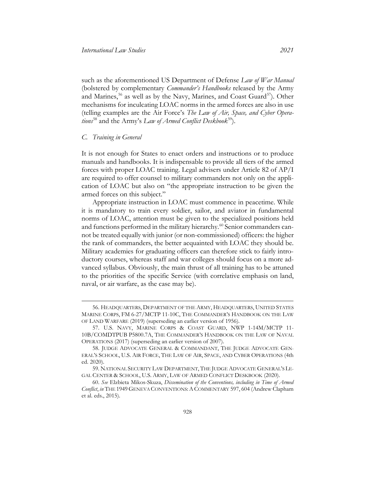<span id="page-12-6"></span>such as the aforementioned US Department of Defense *Law of War Manual* (bolstered by complementary *Commander's Handbooks* released by the Army and Marines,  $56$  as well as by the Navy, Marines, and Coast Guard $57$ ). Other mechanisms for inculcating LOAC norms in the armed forces are also in use (telling examples are the Air Force's *The Law of Air, Space, and Cyber Operations*<sup>[58](#page-12-3)</sup> and the Army's *Law of Armed Conflict Deskbook*<sup>59</sup>).

#### <span id="page-12-0"></span>*C. Training in General*

It is not enough for States to enact orders and instructions or to produce manuals and handbooks. It is indispensable to provide all tiers of the armed forces with proper LOAC training. Legal advisers under Article 82 of AP/I are required to offer counsel to military commanders not only on the application of LOAC but also on "the appropriate instruction to be given the armed forces on this subject."

Appropriate instruction in LOAC must commence in peacetime. While it is mandatory to train every soldier, sailor, and aviator in fundamental norms of LOAC, attention must be given to the specialized positions held and functions performed in the military hierarchy.<sup>[60](#page-12-5)</sup> Senior commanders cannot be treated equally with junior (or non-commissioned) officers: the higher the rank of commanders, the better acquainted with LOAC they should be. Military academies for graduating officers can therefore stick to fairly introductory courses, whereas staff and war colleges should focus on a more advanced syllabus. Obviously, the main thrust of all training has to be attuned to the priorities of the specific Service (with correlative emphasis on land, naval, or air warfare, as the case may be).

<span id="page-12-1"></span><sup>56.</sup> HEADQUARTERS, DEPARTMENT OF THE ARMY, HEADQUARTERS, UNITED STATES MARINE CORPS, FM 6-27/MCTP 11-10C, THE COMMANDER'S HANDBOOK ON THE LAW OF LAND WARFARE (2019) (superseding an earlier version of 1956).

<span id="page-12-2"></span><sup>57.</sup> U.S. NAVY, MARINE CORPS & COAST GUARD, NWP 1-14M/MCTP 11- 10B/COMDTPUB P5800.7A, THE COMMANDER'S HANDBOOK ON THE LAW OF NAVAL OPERATIONS (2017) (superseding an earlier version of 2007).

<span id="page-12-3"></span><sup>58.</sup> JUDGE ADVOCATE GENERAL & COMMANDANT, THE JUDGE ADVOCATE GEN-ERAL'S SCHOOL, U.S. AIR FORCE, THE LAW OF AIR, SPACE, AND CYBER OPERATIONS (4th ed. 2020).

<span id="page-12-4"></span><sup>59.</sup> NATIONAL SECURITY LAW DEPARTMENT, THE JUDGE ADVOCATE GENERAL'S LE-GAL CENTER & SCHOOL, U.S. ARMY, LAW OF ARMED CONFLICT DESKBOOK (2020).

<span id="page-12-5"></span><sup>60.</sup> *See* Elzbieta Mikos-Skuza, *Dissemination of the Conventions, including in Time of Armed Conflict*, *in* THE 1949 GENEVA CONVENTIONS:ACOMMENTARY 597, 604 (Andrew Clapham et al. eds., 2015).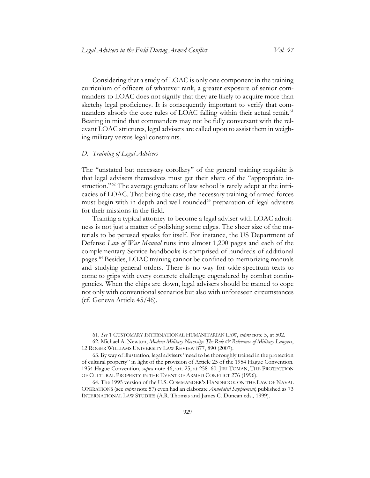Considering that a study of LOAC is only one component in the training curriculum of officers of whatever rank, a greater exposure of senior commanders to LOAC does not signify that they are likely to acquire more than sketchy legal proficiency. It is consequently important to verify that com-manders absorb the core rules of LOAC falling within their actual remit.<sup>[61](#page-13-1)</sup> Bearing in mind that commanders may not be fully conversant with the relevant LOAC strictures, legal advisers are called upon to assist them in weighing military versus legal constraints.

#### <span id="page-13-0"></span>*D. Training of Legal Advisers*

The "unstated but necessary corollary" of the general training requisite is that legal advisers themselves must get their share of the "appropriate in-struction."<sup>[62](#page-13-2)</sup> The average graduate of law school is rarely adept at the intricacies of LOAC. That being the case, the necessary training of armed forces must begin with in-depth and well-rounded<sup>[63](#page-13-3)</sup> preparation of legal advisers for their missions in the field.

Training a typical attorney to become a legal adviser with LOAC adroitness is not just a matter of polishing some edges. The sheer size of the materials to be perused speaks for itself. For instance, the US Department of Defense *Law of War Manual* runs into almost 1,200 pages and each of the complementary Service handbooks is comprised of hundreds of additional pages.[64](#page-13-4) Besides, LOAC training cannot be confined to memorizing manuals and studying general orders. There is no way for wide-spectrum texts to come to grips with every concrete challenge engendered by combat contingencies. When the chips are down, legal advisers should be trained to cope not only with conventional scenarios but also with unforeseen circumstances (cf. Geneva Article 45/46).

<sup>61.</sup> *See* 1 CUSTOMARY INTERNATIONAL HUMANITARIAN LAW, *supra* note [5,](#page-2-7) at 502.

<span id="page-13-2"></span><span id="page-13-1"></span><sup>62.</sup> Michael A. Newton, *Modern Military Necessity: The Role & Relevance of Military Lawyers*, 12 ROGER WILLIAMS UNIVERSITY LAW REVIEW 877, 890 (2007).

<span id="page-13-3"></span><sup>63.</sup> By way of illustration, legal advisers "need to be thoroughly trained in the protection of cultural property" in light of the provision of Article 25 of the 1954 Hague Convention. 1954 Hague Convention, *supra* note [46,](#page-10-8) art. 25, at 258–60. JIRI TOMAN, THE PROTECTION OF CULTURAL PROPERTY IN THE EVENT OF ARMED CONFLICT 276 (1996).

<span id="page-13-4"></span><sup>64.</sup> The 1995 version of the U.S. COMMANDER'S HANDBOOK ON THE LAW OF NAVAL OPERATIONS (see *supra* note [57\)](#page-12-6) even had an elaborate *Annotated Supplement*, published as 73 INTERNATIONAL LAW STUDIES (A.R. Thomas and James C. Duncan eds., 1999).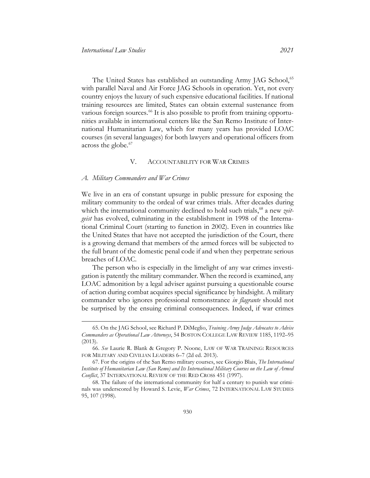The United States has established an outstanding Army JAG School,<sup>[65](#page-14-2)</sup> with parallel Naval and Air Force JAG Schools in operation. Yet, not every country enjoys the luxury of such expensive educational facilities. If national training resources are limited, States can obtain external sustenance from various foreign sources.<sup>[66](#page-14-3)</sup> It is also possible to profit from training opportunities available in international centers like the San Remo Institute of International Humanitarian Law, which for many years has provided LOAC courses (in several languages) for both lawyers and operational officers from across the globe.<sup>[67](#page-14-4)</sup>

#### V. ACCOUNTABILITY FOR WAR CRIMES

#### <span id="page-14-1"></span><span id="page-14-0"></span>*A. Military Commanders and War Crimes*

We live in an era of constant upsurge in public pressure for exposing the military community to the ordeal of war crimes trials. After decades during which the international community declined to hold such trials,<sup>[68](#page-14-5)</sup> a new *zeitgeist* has evolved, culminating in the establishment in 1998 of the International Criminal Court (starting to function in 2002). Even in countries like the United States that have not accepted the jurisdiction of the Court, there is a growing demand that members of the armed forces will be subjected to the full brunt of the domestic penal code if and when they perpetrate serious breaches of LOAC.

The person who is especially in the limelight of any war crimes investigation is patently the military commander. When the record is examined, any LOAC admonition by a legal adviser against pursuing a questionable course of action during combat acquires special significance by hindsight. A military commander who ignores professional remonstrance *in flagrante* should not be surprised by the ensuing criminal consequences. Indeed, if war crimes

<span id="page-14-2"></span><sup>65.</sup> On the JAG School, see Richard P. DiMeglio, *Training Army Judge Advocates to Advise Commanders as Operational Law Attorneys*, 54 BOSTON COLLEGE LAW REVIEW 1185, 1192–95 (2013).

<span id="page-14-3"></span><sup>66.</sup> *See* Laurie R. Blank & Gregory P. Noone, LAW OF WAR TRAINING: RESOURCES FOR MILITARY AND CIVILIAN LEADERS 6–7 (2d ed. 2013).

<span id="page-14-4"></span><sup>67.</sup> For the origins of the San Remo military courses, see Giorgio Blais, *The International Institute of Humanitarian Law (San Remo) and Its International Military Courses on the Law of Armed Conflict*, 37 INTERNATIONAL REVIEW OF THE RED CROSS 451 (1997).

<span id="page-14-5"></span><sup>68.</sup> The failure of the international community for half a century to punish war criminals was underscored by Howard S. Levie, *War Crimes*, 72 INTERNATIONAL LAW STUDIES 95, 107 (1998).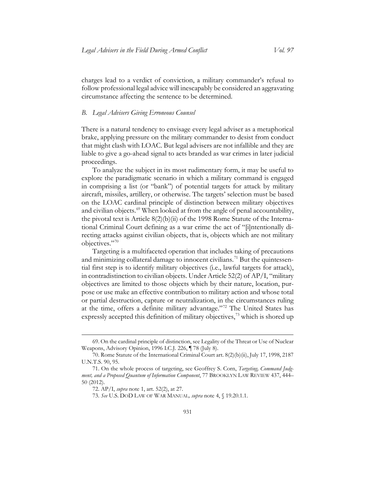charges lead to a verdict of conviction, a military commander's refusal to follow professional legal advice will inescapably be considered an aggravating circumstance affecting the sentence to be determined.

#### <span id="page-15-0"></span>*B. Legal Advisers Giving Erroneous Counsel*

There is a natural tendency to envisage every legal adviser as a metaphorical brake, applying pressure on the military commander to desist from conduct that might clash with LOAC. But legal advisers are not infallible and they are liable to give a go-ahead signal to acts branded as war crimes in later judicial proceedings.

To analyze the subject in its most rudimentary form, it may be useful to explore the paradigmatic scenario in which a military command is engaged in comprising a list (or "bank") of potential targets for attack by military aircraft, missiles, artillery, or otherwise. The targets' selection must be based on the LOAC cardinal principle of distinction between military objectives and civilian objects.<sup>[69](#page-15-1)</sup> When looked at from the angle of penal accountability, the pivotal text is Article 8(2)(b)(ii) of the 1998 Rome Statute of the International Criminal Court defining as a war crime the act of "[i]ntentionally directing attacks against civilian objects, that is, objects which are not military objectives."[70](#page-15-2)

<span id="page-15-6"></span>Targeting is a multifaceted operation that includes taking of precautions and minimizing collateral damage to innocent civilians.<sup>[71](#page-15-3)</sup> But the quintessential first step is to identify military objectives (i.e., lawful targets for attack), in contradistinction to civilian objects. Under Article 52(2) of AP/I, "military objectives are limited to those objects which by their nature, location, purpose or use make an effective contribution to military action and whose total or partial destruction, capture or neutralization, in the circumstances ruling at the time, offers a definite military advantage."[72](#page-15-4) The United States has expressly accepted this definition of military objectives,<sup>[73](#page-15-5)</sup> which is shored up

<span id="page-15-1"></span><sup>69.</sup> On the cardinal principle of distinction, see Legality of the Threat or Use of Nuclear Weapons, Advisory Opinion, 1996 I.C.J. 226, ¶ 78 (July 8).

<span id="page-15-2"></span><sup>70.</sup> Rome Statute of the International Criminal Court art. 8(2)(b)(ii), July 17, 1998, 2187 U.N.T.S. 90, 95.

<span id="page-15-5"></span><span id="page-15-4"></span><span id="page-15-3"></span><sup>71.</sup> On the whole process of targeting, see Geoffrey S. Corn, *Targeting, Command Judgment, and a Proposed Quantum of Information Component*, 77 BROOKLYN LAW REVIEW 437, 444– 50 (2012).

<sup>72.</sup> AP/I, *supra* note [1,](#page-2-6) art. 52(2), at 27.

<sup>73.</sup> *See* U.S. DOD LAW OF WAR MANUAL*, supra* note [4,](#page-2-9) § 19.20.1.1.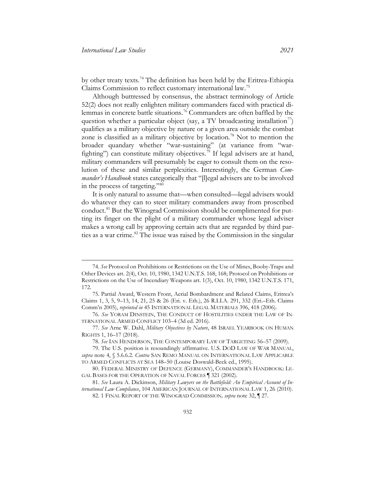by other treaty texts.[74](#page-16-0) The definition has been held by the Eritrea-Ethiopia Claims Commission to reflect customary international law[.75](#page-16-1)

Although buttressed by consensus, the abstract terminology of Article 52(2) does not really enlighten military commanders faced with practical di-lemmas in concrete battle situations.<sup>[76](#page-16-2)</sup> Commanders are often baffled by the question whether a particular object (say, a TV broadcasting installation<sup>[77](#page-16-3)</sup>) qualifies as a military objective by nature or a given area outside the combat zone is classified as a military objective by location.<sup>[78](#page-16-4)</sup> Not to mention the broader quandary whether "war-sustaining" (at variance from "war-fighting") can constitute military objectives.<sup>[79](#page-16-5)</sup> If legal advisers are at hand, military commanders will presumably be eager to consult them on the resolution of these and similar perplexities. Interestingly, the German *Commander's Handbook* states categorically that "[l]egal advisers are to be involved in the process of targeting."[80](#page-16-6)

It is only natural to assume that—when consulted—legal advisers would do whatever they can to steer military commanders away from proscribed conduct.<sup>[81](#page-16-7)</sup> But the Winograd Commission should be complimented for putting its finger on the plight of a military commander whose legal adviser makes a wrong call by approving certain acts that are regarded by third par-ties as a war crime.<sup>[82](#page-16-8)</sup> The issue was raised by the Commission in the singular

<span id="page-16-0"></span><sup>74.</sup> *See* Protocol on Prohibitions or Restrictions on the Use of Mines, Booby-Traps and Other Devices art. 2(4), Oct. 10, 1980, 1342 U.N.T.S. 168, 168; Protocol on Prohibitions or Restrictions on the Use of Incendiary Weapons art. 1(3), Oct. 10, 1980, 1342 U.N.T.S. 171, 172.

<span id="page-16-1"></span><sup>75.</sup> Partial Award, Western Front, Aerial Bombardment and Related Claims, Eritrea's Claims 1, 3, 5, 9–13, 14, 21, 25 & 26 (Eri. v. Eth.), 26 R.I.I.A. 291, 332 (Eri.–Eth. Claims Comm'n 2005), *reprinted in* 45 INTERNATIONAL LEGAL MATERIALS 396, 418 (2006).

<span id="page-16-2"></span><sup>76.</sup> *See* YORAM DINSTEIN, THE CONDUCT OF HOSTILITIES UNDER THE LAW OF IN-TERNATIONAL ARMED CONFLICT 103–4 (3d ed. 2016).

<span id="page-16-3"></span><sup>77.</sup> *See* Arne W. Dahl, *Military Objectives by Nature*, 48 ISRAEL YEARBOOK ON HUMAN RIGHTS 1, 16–17 (2018).

<sup>78.</sup> *See* IAN HENDERSON, THE CONTEMPORARY LAW OF TARGETING 56–57 (2009).

<span id="page-16-5"></span><span id="page-16-4"></span><sup>79.</sup> The U.S. position is resoundingly affirmative. U.S. DOD LAW OF WAR MANUAL, *supra* note [4,](#page-2-9) § 5.6.6.2. *Contra* SAN REMO MANUAL ON INTERNATIONAL LAW APPLICABLE TO ARMED CONFLICTS AT SEA 148–50 (Louise Doswald-Beck ed., 1995).

<span id="page-16-6"></span><sup>80.</sup> FEDERAL MINISTRY OF DEFENCE (GERMANY), COMMANDER'S HANDBOOK: LE-GAL BASES FOR THE OPERATION OF NAVAL FORCES ¶ 321 (2002).

<span id="page-16-8"></span><span id="page-16-7"></span><sup>81.</sup> *See* Laura A. Dickinson, *Military Lawyers on the Battlefield: An Empirical Account of International Law Compliance*, 104 AMERICAN JOURNAL OF INTERNATIONAL LAW 1, 26 (2010).

<sup>82.</sup> 1 FINAL REPORT OF THE WINOGRAD COMMISSION*, supra* note [32,](#page-7-8) ¶ 27.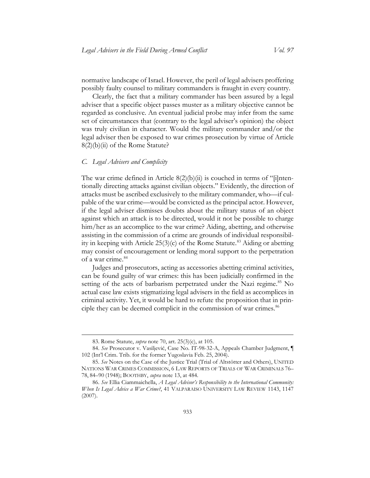normative landscape of Israel. However, the peril of legal advisers proffering possibly faulty counsel to military commanders is fraught in every country.

Clearly, the fact that a military commander has been assured by a legal adviser that a specific object passes muster as a military objective cannot be regarded as conclusive. An eventual judicial probe may infer from the same set of circumstances that (contrary to the legal adviser's opinion) the object was truly civilian in character. Would the military commander and/or the legal adviser then be exposed to war crimes prosecution by virtue of Article 8(2)(b)(ii) of the Rome Statute?

#### <span id="page-17-0"></span>*C. Legal Advisers and Complicity*

The war crime defined in Article  $8(2)(b)(ii)$  is couched in terms of "[i]ntentionally directing attacks against civilian objects." Evidently, the direction of attacks must be ascribed exclusively to the military commander, who—if culpable of the war crime—would be convicted as the principal actor. However, if the legal adviser dismisses doubts about the military status of an object against which an attack is to be directed, would it not be possible to charge him/her as an accomplice to the war crime? Aiding, abetting, and otherwise assisting in the commission of a crime are grounds of individual responsibility in keeping with Article  $25(3)(c)$  of the Rome Statute.<sup>[83](#page-17-1)</sup> Aiding or abetting may consist of encouragement or lending moral support to the perpetration of a war crime.<sup>[84](#page-17-2)</sup>

Judges and prosecutors, acting as accessories abetting criminal activities, can be found guilty of war crimes: this has been judicially confirmed in the setting of the acts of barbarism perpetrated under the Nazi regime.<sup>[85](#page-17-3)</sup> No actual case law exists stigmatizing legal advisers in the field as accomplices in criminal activity. Yet, it would be hard to refute the proposition that in prin-ciple they can be deemed complicit in the commission of war crimes.<sup>[86](#page-17-4)</sup>

<sup>83.</sup> Rome Statute, *supra* note [70,](#page-15-6) art. 25(3)(c), at 105.

<span id="page-17-2"></span><span id="page-17-1"></span><sup>84.</sup> *See* Prosecutor v. Vasiljević, Case No. IT-98-32-A, Appeals Chamber Judgment, ¶ 102 (Int'l Crim. Trib. for the former Yugoslavia Feb. 25, 2004).

<span id="page-17-3"></span><sup>85.</sup> *See* Notes on the Case of the Justice Trial (Trial of Altstötter and Others), UNITED NATIONS WAR CRIMES COMMISSION, 6 LAW REPORTS OF TRIALS OF WAR CRIMINALS 76– 78, 84–90 (1948); BOOTHBY, *supra* not[e 13,](#page-4-4) at 484.

<span id="page-17-4"></span><sup>86.</sup> *See* Ellia Ciammaichella, *A Legal Advisor's Responsibility to the International Community: When Is Legal Advice a War Crime?*, 41 VALPARAISO UNIVERSITY LAW REVIEW 1143, 1147 (2007).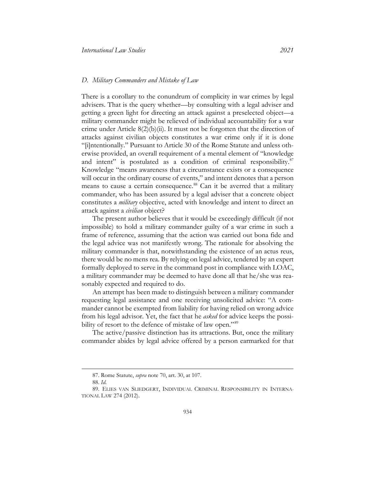#### <span id="page-18-0"></span>*D. Military Commanders and Mistake of Law*

There is a corollary to the conundrum of complicity in war crimes by legal advisers. That is the query whether—by consulting with a legal adviser and getting a green light for directing an attack against a preselected object—a military commander might be relieved of individual accountability for a war crime under Article 8(2)(b)(ii). It must not be forgotten that the direction of attacks against civilian objects constitutes a war crime only if it is done "[i]ntentionally." Pursuant to Article 30 of the Rome Statute and unless otherwise provided, an overall requirement of a mental element of "knowledge and intent" is postulated as a condition of criminal responsibility.<sup>[87](#page-18-1)</sup> Knowledge "means awareness that a circumstance exists or a consequence will occur in the ordinary course of events," and intent denotes that a person means to cause a certain consequence.<sup>[88](#page-18-2)</sup> Can it be averred that a military commander, who has been assured by a legal adviser that a concrete object constitutes a *military* objective, acted with knowledge and intent to direct an attack against a *civilian* object?

The present author believes that it would be exceedingly difficult (if not impossible) to hold a military commander guilty of a war crime in such a frame of reference, assuming that the action was carried out bona fide and the legal advice was not manifestly wrong. The rationale for absolving the military commander is that, notwithstanding the existence of an actus reus, there would be no mens rea. By relying on legal advice, tendered by an expert formally deployed to serve in the command post in compliance with LOAC, a military commander may be deemed to have done all that he/she was reasonably expected and required to do.

An attempt has been made to distinguish between a military commander requesting legal assistance and one receiving unsolicited advice: "A commander cannot be exempted from liability for having relied on wrong advice from his legal advisor. Yet, the fact that he *asked* for advice keeps the possi-bility of resort to the defence of mistake of law open."<sup>[89](#page-18-3)</sup>

The active/passive distinction has its attractions. But, once the military commander abides by legal advice offered by a person earmarked for that

<sup>87.</sup> Rome Statute, *supra* note [70,](#page-15-6) art. 30, at 107.

<sup>88.</sup> *Id*.

<span id="page-18-3"></span><span id="page-18-2"></span><span id="page-18-1"></span><sup>89.</sup> ELIES VAN SLIEDGERT, INDIVIDUAL CRIMINAL RESPONSIBILITY IN INTERNA-TIONAL LAW 274 (2012).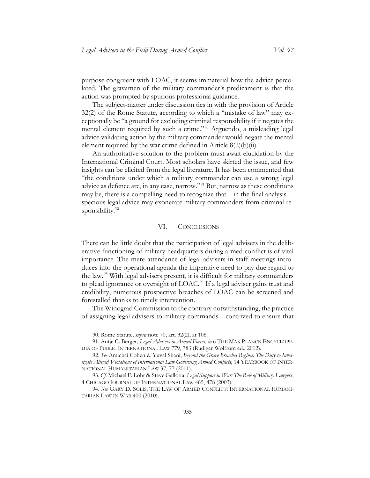purpose congruent with LOAC, it seems immaterial how the advice percolated. The gravamen of the military commander's predicament is that the action was prompted by spurious professional guidance.

The subject-matter under discussion ties in with the provision of Article 32(2) of the Rome Statute, according to which a "mistake of law" may exceptionally be "a ground for excluding criminal responsibility if it negates the mental element required by such a crime."[90](#page-19-1) Arguendo, a misleading legal advice validating action by the military commander would negate the mental element required by the war crime defined in Article  $8(2)(b)(ii)$ .

An authoritative solution to the problem must await elucidation by the International Criminal Court. Most scholars have skirted the issue, and few insights can be elicited from the legal literature. It has been commented that "the conditions under which a military commander can use a wrong legal advice as defence are, in any case, narrow."[91](#page-19-2) But, narrow as these conditions may be, there is a compelling need to recognize that—in the final analysis specious legal advice may exonerate military commanders from criminal re-sponsibility.<sup>[92](#page-19-3)</sup>

#### VI. CONCLUSIONS

<span id="page-19-0"></span>There can be little doubt that the participation of legal advisers in the deliberative functioning of military headquarters during armed conflict is of vital importance. The mere attendance of legal advisers in staff meetings introduces into the operational agenda the imperative need to pay due regard to the law.[93](#page-19-4) With legal advisers present, it is difficult for military commanders to plead ignorance or oversight of LOAC.<sup>[94](#page-19-5)</sup> If a legal adviser gains trust and credibility, numerous prospective breaches of LOAC can be screened and forestalled thanks to timely intervention.

The Winograd Commission to the contrary notwithstanding, the practice of assigning legal advisers to military commands—contrived to ensure that

<sup>90.</sup> Rome Statute, *supra* note [70,](#page-15-6) art. 32(2), at 108.

<span id="page-19-2"></span><span id="page-19-1"></span><sup>91.</sup> Antje C. Berger, *Legal Advisers in Armed Forces*, *in* 6 THE MAX PLANCK ENCYCLOPE-DIA OF PUBLIC INTERNATIONAL LAW 779, 783 (Rudiger Wolfrum ed., 2012).

<span id="page-19-3"></span><sup>92.</sup> *See* Amichai Cohen & Yuval Shani, *Beyond the Grave Breaches Regime: The Duty to Investigate Alleged Violations of International Law Governing Armed Conflicts*, 14 YEARBOOK OF INTER-NATIONAL HUMANITARIAN LAW 37, 77 (2011).

<span id="page-19-4"></span><sup>93.</sup> *Cf.* Michael F. Lohr & Steve Gallotta, *Legal Support in War: The Role of Military Lawyers*, 4 CHICAGO JOURNAL OF INTERNATIONAL LAW 465, 478 (2003).

<span id="page-19-5"></span><sup>94.</sup> *See* GARY D. SOLIS, THE LAW OF ARMED CONFLICT: INTERNATIONAL HUMANI-TARIAN LAW IN WAR 400 (2010).